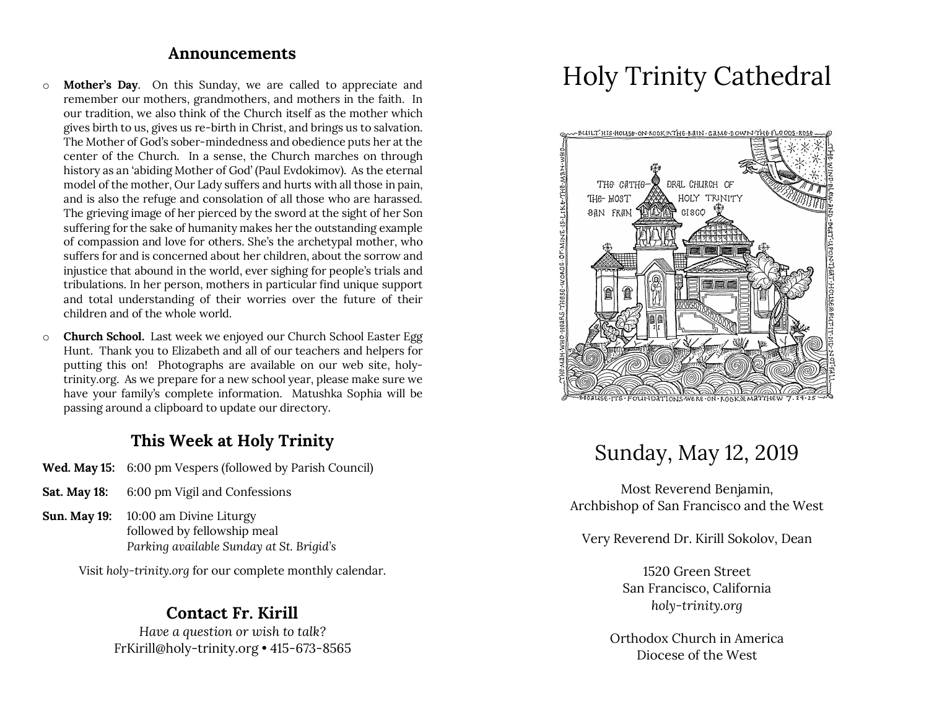#### **Announcements**

- o **Mother's Day**. On this Sunday, we are called to appreciate and remember our mothers, grandmothers, and mothers in the faith. In our tradition, we also think of the Church itself as the mother which gives birth to us, gives us re-birth in Christ, and brings us to salvation. The Mother of God's sober-mindedness and obedience puts her at the center of the Church. In a sense, the Church marches on through history as an 'abiding Mother of God' (Paul Evdokimov). As the eternal model of the mother, Our Lady suffers and hurts with all those in pain, and is also the refuge and consolation of all those who are harassed. The grieving image of her pierced by the sword at the sight of her Son suffering for the sake of humanity makes her the outstanding example of compassion and love for others. She's the archetypal mother, who suffers for and is concerned about her children, about the sorrow and injustice that abound in the world, ever sighing for people's trials and tribulations. In her person, mothers in particular find unique support and total understanding of their worries over the future of their children and of the whole world.
- o **Church School.** Last week we enjoyed our Church School Easter Egg Hunt. Thank you to Elizabeth and all of our teachers and helpers for putting this on! Photographs are available on our web site, holytrinity.org. As we prepare for a new school year, please make sure we have your family's complete information. Matushka Sophia will be passing around a clipboard to update our directory.

#### **This Week at Holy Trinity**

- **Wed. May 15:** 6:00 pm Vespers (followed by Parish Council)
- **Sat. May 18:** 6:00 pm Vigil and Confessions
- **Sun. May 19:** 10:00 am Divine Liturgy followed by fellowship meal *Parking available Sunday at St. Brigid's*

Visit *holy-trinity.org* for our complete monthly calendar.

#### **Contact Fr. Kirill**

*Have a question or wish to talk?* FrKirill@holy-trinity.org • 415-673-8565

# Holy Trinity Cathedral



# Sunday, May 12, 2019

Most Reverend Benjamin, Archbishop of San Francisco and the West

Very Reverend Dr. Kirill Sokolov, Dean

1520 Green Street San Francisco, California *holy-trinity.org*

Orthodox Church in America Diocese of the West